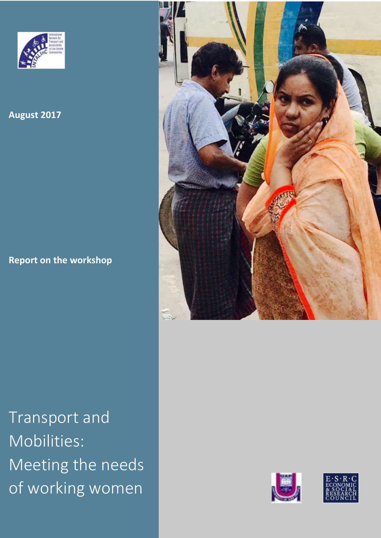

**August 2017**

**Report on the workshop**



Transport and Mobilities: Meeting the needs of working women



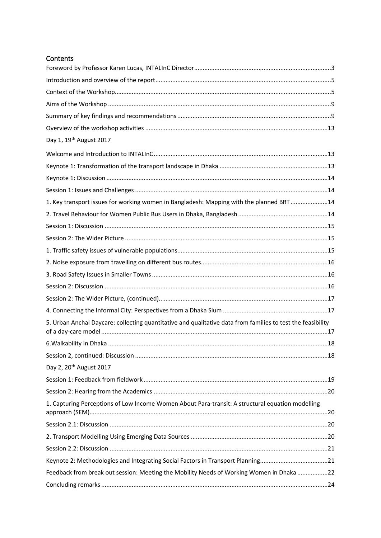| Contents |
|----------|
|----------|

| Day 1, 19 <sup>th</sup> August 2017                                                                         |  |
|-------------------------------------------------------------------------------------------------------------|--|
|                                                                                                             |  |
|                                                                                                             |  |
|                                                                                                             |  |
|                                                                                                             |  |
| 1. Key transport issues for working women in Bangladesh: Mapping with the planned BRT14                     |  |
|                                                                                                             |  |
|                                                                                                             |  |
|                                                                                                             |  |
|                                                                                                             |  |
|                                                                                                             |  |
|                                                                                                             |  |
|                                                                                                             |  |
|                                                                                                             |  |
|                                                                                                             |  |
| 5. Urban Anchal Daycare: collecting quantitative and qualitative data from families to test the feasibility |  |
|                                                                                                             |  |
|                                                                                                             |  |
| Day 2, 20 <sup>th</sup> August 2017                                                                         |  |
|                                                                                                             |  |
|                                                                                                             |  |
| 1. Capturing Perceptions of Low Income Women About Para-transit: A structural equation modelling            |  |
|                                                                                                             |  |
|                                                                                                             |  |
|                                                                                                             |  |
|                                                                                                             |  |
| Feedback from break out session: Meeting the Mobility Needs of Working Women in Dhaka 22                    |  |
|                                                                                                             |  |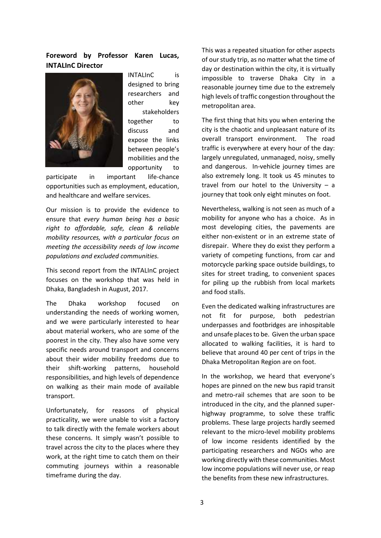## <span id="page-2-0"></span>**Foreword by Professor Karen Lucas, INTALInC Director**



INTALInC is designed to bring researchers and other key stakeholders together to discuss and expose the links between people's mobilities and the opportunity to

participate in important life-chance opportunities such as employment, education, and healthcare and welfare services.

Our mission is to provide the evidence to ensure that *every human being has a basic right to affordable, safe, clean & reliable mobility resources, with a particular focus on meeting the accessibility needs of low income populations and excluded communities.*

This second report from the INTALInC project focuses on the workshop that was held in Dhaka, Bangladesh in August, 2017.

The Dhaka workshop focused on understanding the needs of working women, and we were particularly interested to hear about material workers, who are some of the poorest in the city. They also have some very specific needs around transport and concerns about their wider mobility freedoms due to their shift-working patterns, household responsibilities, and high levels of dependence on walking as their main mode of available transport.

Unfortunately, for reasons of physical practicality, we were unable to visit a factory to talk directly with the female workers about these concerns. It simply wasn't possible to travel across the city to the places where they work, at the right time to catch them on their commuting journeys within a reasonable timeframe during the day.

This was a repeated situation for other aspects of our study trip, as no matter what the time of day or destination within the city, it is virtually impossible to traverse Dhaka City in a reasonable journey time due to the extremely high levels of traffic congestion throughout the metropolitan area.

The first thing that hits you when entering the city is the chaotic and unpleasant nature of its overall transport environment. The road traffic is everywhere at every hour of the day: largely unregulated, unmanaged, noisy, smelly and dangerous. In-vehicle journey times are also extremely long. It took us 45 minutes to travel from our hotel to the University  $-$  a journey that took only eight minutes on foot.

Nevertheless, walking is not seen as much of a mobility for anyone who has a choice. As in most developing cities, the pavements are either non-existent or in an extreme state of disrepair. Where they do exist they perform a variety of competing functions, from car and motorcycle parking space outside buildings, to sites for street trading, to convenient spaces for piling up the rubbish from local markets and food stalls.

Even the dedicated walking infrastructures are not fit for purpose, both pedestrian underpasses and footbridges are inhospitable and unsafe places to be. Given the urban space allocated to walking facilities, it is hard to believe that around 40 per cent of trips in the Dhaka Metropolitan Region are on foot.

In the workshop, we heard that everyone's hopes are pinned on the new bus rapid transit and metro-rail schemes that are soon to be introduced in the city, and the planned superhighway programme, to solve these traffic problems. These large projects hardly seemed relevant to the micro-level mobility problems of low income residents identified by the participating researchers and NGOs who are working directly with these communities. Most low income populations will never use, or reap the benefits from these new infrastructures.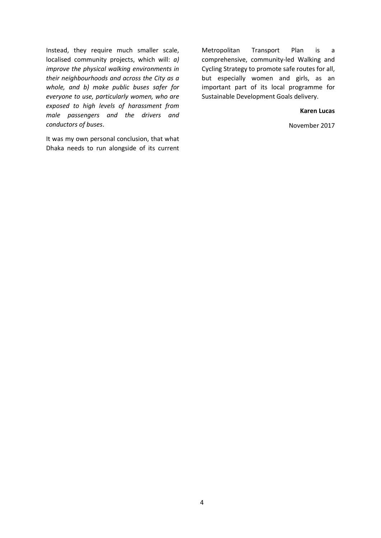Instead, they require much smaller scale, localised community projects, which will: *a) improve the physical walking environments in their neighbourhoods and across the City as a whole, and b) make public buses safer for everyone to use, particularly women, who are exposed to high levels of harassment from male passengers and the drivers and conductors of buses*.

It was my own personal conclusion, that what Dhaka needs to run alongside of its current

Metropolitan Transport Plan is a comprehensive, community-led Walking and Cycling Strategy to promote safe routes for all, but especially women and girls, as an important part of its local programme for Sustainable Development Goals delivery.

#### **Karen Lucas**

November 2017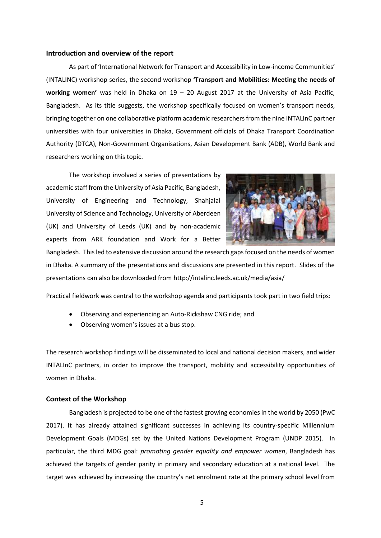#### <span id="page-4-0"></span>**Introduction and overview of the report**

As part of 'International Network for Transport and Accessibility in Low-income Communities' (INTALINC) workshop series, the second workshop **'Transport and Mobilities: Meeting the needs of working women'** was held in Dhaka on 19 – 20 August 2017 at the University of Asia Pacific, Bangladesh. As its title suggests, the workshop specifically focused on women's transport needs, bringing together on one collaborative platform academic researchers from the nine INTALInC partner universities with four universities in Dhaka, Government officials of Dhaka Transport Coordination Authority (DTCA), Non-Government Organisations, Asian Development Bank (ADB), World Bank and researchers working on this topic.

The workshop involved a series of presentations by academic staff from the University of Asia Pacific, Bangladesh, University of Engineering and Technology, Shahjalal University of Science and Technology, University of Aberdeen (UK) and University of Leeds (UK) and by non-academic experts from ARK foundation and Work for a Better



Bangladesh. This led to extensive discussion around the research gaps focused on the needs of women in Dhaka. A summary of the presentations and discussions are presented in this report. Slides of the presentations can also be downloaded from http://intalinc.leeds.ac.uk/media/asia/

Practical fieldwork was central to the workshop agenda and participants took part in two field trips:

- Observing and experiencing an Auto-Rickshaw CNG ride; and
- Observing women's issues at a bus stop.

The research workshop findings will be disseminated to local and national decision makers, and wider INTALInC partners, in order to improve the transport, mobility and accessibility opportunities of women in Dhaka.

#### <span id="page-4-1"></span>**Context of the Workshop**

Bangladesh is projected to be one of the fastest growing economiesin the world by 2050 (PwC 2017). It has already attained significant successes in achieving its country-specific Millennium Development Goals (MDGs) set by the United Nations Development Program (UNDP 2015). In particular, the third MDG goal: *promoting gender equality and empower women*, Bangladesh has achieved the targets of gender parity in primary and secondary education at a national level. The target was achieved by increasing the country's net enrolment rate at the primary school level from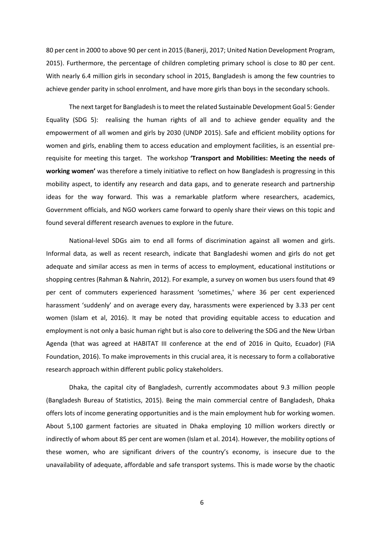80 per cent in 2000 to above 90 per cent in 2015 (Banerji, 2017; United Nation Development Program, 2015). Furthermore, the percentage of children completing primary school is close to 80 per cent. With nearly 6.4 million girls in secondary school in 2015, Bangladesh is among the few countries to achieve gender parity in school enrolment, and have more girls than boys in the secondary schools.

The next target for Bangladesh is to meet the related Sustainable Development Goal 5: Gender Equality (SDG 5): realising the human rights of all and to achieve gender equality and the empowerment of all women and girls by 2030 (UNDP 2015). Safe and efficient mobility options for women and girls, enabling them to access education and employment facilities, is an essential prerequisite for meeting this target. The workshop **'Transport and Mobilities: Meeting the needs of working women'** was therefore a timely initiative to reflect on how Bangladesh is progressing in this mobility aspect, to identify any research and data gaps, and to generate research and partnership ideas for the way forward. This was a remarkable platform where researchers, academics, Government officials, and NGO workers came forward to openly share their views on this topic and found several different research avenues to explore in the future.

National-level SDGs aim to end all forms of discrimination against all women and girls. Informal data, as well as recent research, indicate that Bangladeshi women and girls do not get adequate and similar access as men in terms of access to employment, educational institutions or shopping centres (Rahman & Nahrin, 2012). For example, a survey on women bus users found that 49 per cent of commuters experienced harassment 'sometimes,' where 36 per cent experienced harassment 'suddenly' and on average every day, harassments were experienced by 3.33 per cent women (Islam et al, 2016). It may be noted that providing equitable access to education and employment is not only a basic human right but is also core to delivering the SDG and the New Urban Agenda (that was agreed at HABITAT III conference at the end of 2016 in Quito, Ecuador) (FIA Foundation, 2016). To make improvements in this crucial area, it is necessary to form a collaborative research approach within different public policy stakeholders.

Dhaka, the capital city of Bangladesh, currently accommodates about 9.3 million people (Bangladesh Bureau of Statistics, 2015). Being the main commercial centre of Bangladesh, Dhaka offers lots of income generating opportunities and is the main employment hub for working women. About 5,100 garment factories are situated in Dhaka employing 10 million workers directly or indirectly of whom about 85 per cent are women (Islam et al. 2014). However, the mobility options of these women, who are significant drivers of the country's economy, is insecure due to the unavailability of adequate, affordable and safe transport systems. This is made worse by the chaotic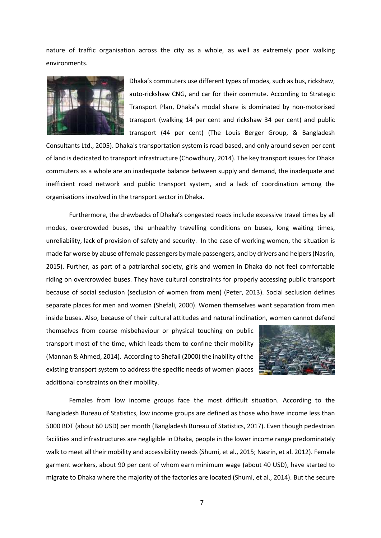nature of traffic organisation across the city as a whole, as well as extremely poor walking environments.



Dhaka's commuters use different types of modes, such as bus, rickshaw, auto-rickshaw CNG, and car for their commute. According to Strategic Transport Plan, Dhaka's modal share is dominated by non-motorised transport (walking 14 per cent and rickshaw 34 per cent) and public transport (44 per cent) (The Louis Berger Group, & Bangladesh

Consultants Ltd., 2005). Dhaka's transportation system is road based, and only around seven per cent of land is dedicated to transport infrastructure (Chowdhury, 2014). The key transport issues for Dhaka commuters as a whole are an inadequate balance between supply and demand, the inadequate and inefficient road network and public transport system, and a lack of coordination among the organisations involved in the transport sector in Dhaka.

Furthermore, the drawbacks of Dhaka's congested roads include excessive travel times by all modes, overcrowded buses, the unhealthy travelling conditions on buses, long waiting times, unreliability, lack of provision of safety and security. In the case of working women, the situation is made far worse by abuse of female passengers by male passengers, and by drivers and helpers (Nasrin, 2015). Further, as part of a patriarchal society, girls and women in Dhaka do not feel comfortable riding on overcrowded buses. They have cultural constraints for properly accessing public transport because of social seclusion (seclusion of women from men) (Peter, 2013). Social seclusion defines separate places for men and women (Shefali, 2000). Women themselves want separation from men inside buses. Also, because of their cultural attitudes and natural inclination, women cannot defend

themselves from coarse misbehaviour or physical touching on public transport most of the time, which leads them to confine their mobility (Mannan & Ahmed, 2014). According to Shefali (2000) the inability of the existing transport system to address the specific needs of women places additional constraints on their mobility.



Females from low income groups face the most difficult situation. According to the Bangladesh Bureau of Statistics, low income groups are defined as those who have income less than 5000 BDT (about 60 USD) per month (Bangladesh Bureau of Statistics, 2017). Even though pedestrian facilities and infrastructures are negligible in Dhaka, people in the lower income range predominately walk to meet all their mobility and accessibility needs (Shumi, et al., 2015; Nasrin, et al. 2012). Female garment workers, about 90 per cent of whom earn minimum wage (about 40 USD), have started to migrate to Dhaka where the majority of the factories are located (Shumi, et al., 2014). But the secure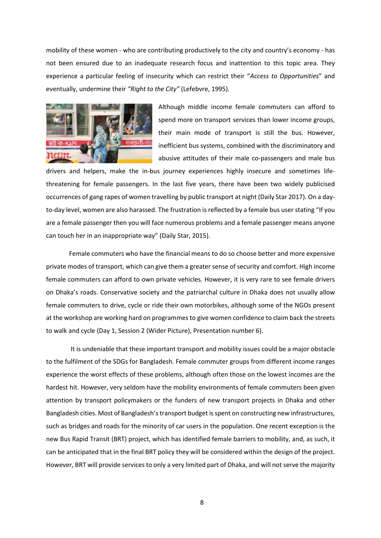mobility of these women - who are contributing productively to the city and country's economy - has not been ensured due to an inadequate research focus and inattention to this topic area. They experience a particular feeling of insecurity which can restrict their "*Access to Opportunities*" and eventually, undermine their *"Right to the City"* (Lefebvre, 1995)*.*



Although middle income female commuters can afford to spend more on transport services than lower income groups, their main mode of transport is still the bus. However, inefficient bus systems, combined with the discriminatory and abusive attitudes of their male co-passengers and male bus

drivers and helpers, make the in-bus journey experiences highly insecure and sometimes lifethreatening for female passengers. In the last five years, there have been two widely publicised occurrences of gang rapes of women travelling by public transport at night (Daily Star 2017). On a dayto-day level, women are also harassed. The frustration is reflected by a female bus user stating "If you are a female passenger then you will face numerous problems and a female passenger means anyone can touch her in an inappropriate way" (Daily Star, 2015).

Female commuters who have the financial means to do so choose better and more expensive private modes of transport, which can give them a greater sense of security and comfort. High income female commuters can afford to own private vehicles. However, it is very rare to see female drivers on Dhaka's roads. Conservative society and the patriarchal culture in Dhaka does not usually allow female commuters to drive, cycle or ride their own motorbikes, although some of the NGOs present at the workshop are working hard on programmes to give women confidence to claim back the streets to walk and cycle (Day 1, Session 2 (Wider Picture), Presentation number 6).

It is undeniable that these important transport and mobility issues could be a major obstacle to the fulfilment of the SDGs for Bangladesh. Female commuter groups from different income ranges experience the worst effects of these problems, although often those on the lowest incomes are the hardest hit. However, very seldom have the mobility environments of female commuters been given attention by transport policymakers or the funders of new transport projects in Dhaka and other Bangladesh cities. Most of Bangladesh's transport budget is spent on constructing new infrastructures, such as bridges and roads for the minority of car users in the population. One recent exception is the new Bus Rapid Transit (BRT) project, which has identified female barriers to mobility, and, as such, it can be anticipated that in the final BRT policy they will be considered within the design of the project. However, BRT will provide services to only a very limited part of Dhaka, and will not serve the majority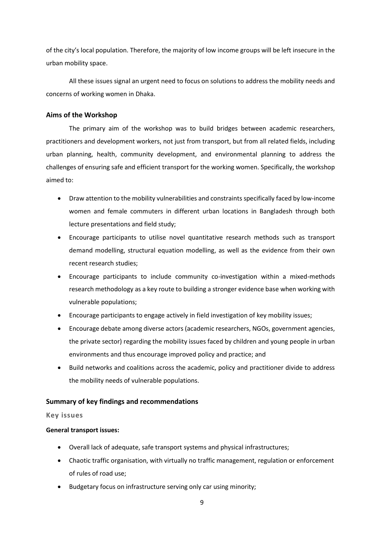of the city's local population. Therefore, the majority of low income groups will be left insecure in the urban mobility space.

All these issues signal an urgent need to focus on solutions to address the mobility needs and concerns of working women in Dhaka.

## <span id="page-8-0"></span>**Aims of the Workshop**

The primary aim of the workshop was to build bridges between academic researchers, practitioners and development workers, not just from transport, but from all related fields, including urban planning, health, community development, and environmental planning to address the challenges of ensuring safe and efficient transport for the working women. Specifically, the workshop aimed to:

- Draw attention to the mobility vulnerabilities and constraints specifically faced by low-income women and female commuters in different urban locations in Bangladesh through both lecture presentations and field study;
- Encourage participants to utilise novel quantitative research methods such as transport demand modelling, structural equation modelling, as well as the evidence from their own recent research studies;
- Encourage participants to include community co-investigation within a mixed-methods research methodology as a key route to building a stronger evidence base when working with vulnerable populations;
- Encourage participants to engage actively in field investigation of key mobility issues;
- Encourage debate among diverse actors (academic researchers, NGOs, government agencies, the private sector) regarding the mobility issues faced by children and young people in urban environments and thus encourage improved policy and practice; and
- Build networks and coalitions across the academic, policy and practitioner divide to address the mobility needs of vulnerable populations.

## <span id="page-8-1"></span>**Summary of key findings and recommendations**

### **Key issues**

### **General transport issues:**

- Overall lack of adequate, safe transport systems and physical infrastructures;
- Chaotic traffic organisation, with virtually no traffic management, regulation or enforcement of rules of road use;
- Budgetary focus on infrastructure serving only car using minority;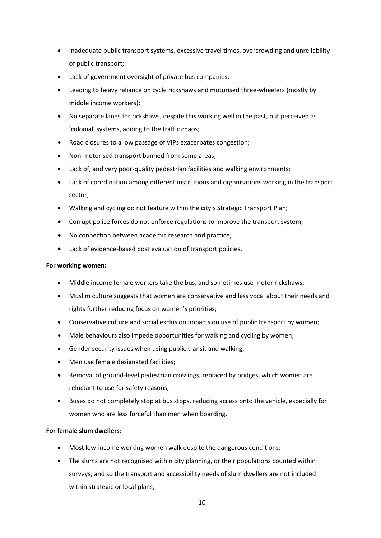- Inadequate public transport systems, excessive travel times, overcrowding and unreliability of public transport;
- Lack of government oversight of private bus companies;
- Leading to heavy reliance on cycle rickshaws and motorised three-wheelers (mostly by middle income workers);
- No separate lanes for rickshaws, despite this working well in the past, but perceived as 'colonial' systems, adding to the traffic chaos;
- Road closures to allow passage of VIPs exacerbates congestion;
- Non-motorised transport banned from some areas;
- Lack of, and very poor-quality pedestrian facilities and walking environments;
- Lack of coordination among different institutions and organisations working in the transport sector;
- Walking and cycling do not feature within the city's Strategic Transport Plan;
- Corrupt police forces do not enforce regulations to improve the transport system;
- No connection between academic research and practice;
- Lack of evidence-based post evaluation of transport policies.

#### **For working women:**

- Middle income female workers take the bus, and sometimes use motor rickshaws;
- Muslim culture suggests that women are conservative and less vocal about their needs and rights further reducing focus on women's priorities;
- Conservative culture and social exclusion impacts on use of public transport by women;
- Male behaviours also impede opportunities for walking and cycling by women;
- Gender security issues when using public transit and walking;
- Men use female designated facilities;
- Removal of ground-level pedestrian crossings, replaced by bridges, which women are reluctant to use for safety reasons;
- Buses do not completely stop at bus stops, reducing access onto the vehicle, especially for women who are less forceful than men when boarding.

### **For female slum dwellers:**

- Most low-income working women walk despite the dangerous conditions;
- The slums are not recognised within city planning, or their populations counted within surveys, and so the transport and accessibility needs of slum dwellers are not included within strategic or local plans;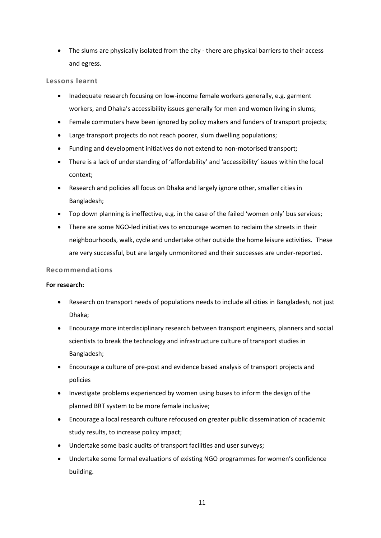• The slums are physically isolated from the city - there are physical barriers to their access and egress.

## **Lessons learnt**

- Inadequate research focusing on low-income female workers generally, e.g. garment workers, and Dhaka's accessibility issues generally for men and women living in slums;
- Female commuters have been ignored by policy makers and funders of transport projects;
- Large transport projects do not reach poorer, slum dwelling populations;
- Funding and development initiatives do not extend to non-motorised transport;
- There is a lack of understanding of 'affordability' and 'accessibility' issues within the local context;
- Research and policies all focus on Dhaka and largely ignore other, smaller cities in Bangladesh;
- Top down planning is ineffective, e.g. in the case of the failed 'women only' bus services;
- There are some NGO-led initiatives to encourage women to reclaim the streets in their neighbourhoods, walk, cycle and undertake other outside the home leisure activities. These are very successful, but are largely unmonitored and their successes are under-reported.

### **Recommendations**

### **For research:**

- Research on transport needs of populations needs to include all cities in Bangladesh, not just Dhaka;
- Encourage more interdisciplinary research between transport engineers, planners and social scientists to break the technology and infrastructure culture of transport studies in Bangladesh;
- Encourage a culture of pre-post and evidence based analysis of transport projects and policies
- Investigate problems experienced by women using buses to inform the design of the planned BRT system to be more female inclusive;
- Encourage a local research culture refocused on greater public dissemination of academic study results, to increase policy impact;
- Undertake some basic audits of transport facilities and user surveys;
- Undertake some formal evaluations of existing NGO programmes for women's confidence building.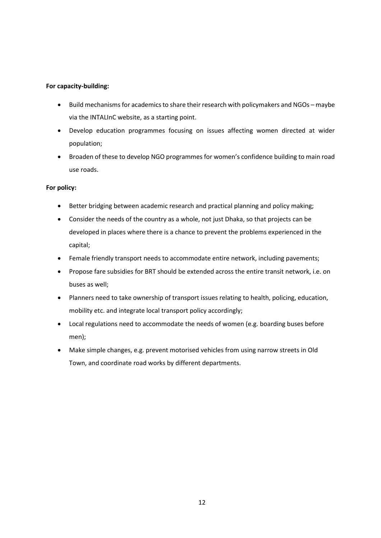### **For capacity-building:**

- Build mechanisms for academics to share their research with policymakers and NGOs maybe via the INTALInC website, as a starting point.
- Develop education programmes focusing on issues affecting women directed at wider population;
- Broaden of these to develop NGO programmes for women's confidence building to main road use roads.

## **For policy:**

- Better bridging between academic research and practical planning and policy making;
- Consider the needs of the country as a whole, not just Dhaka, so that projects can be developed in places where there is a chance to prevent the problems experienced in the capital;
- Female friendly transport needs to accommodate entire network, including pavements;
- Propose fare subsidies for BRT should be extended across the entire transit network, i.e. on buses as well;
- Planners need to take ownership of transport issues relating to health, policing, education, mobility etc. and integrate local transport policy accordingly;
- Local regulations need to accommodate the needs of women (e.g. boarding buses before men);
- Make simple changes, e.g. prevent motorised vehicles from using narrow streets in Old Town, and coordinate road works by different departments.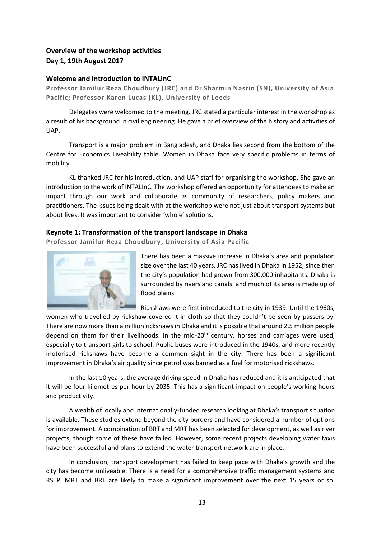# <span id="page-12-0"></span>**Overview of the workshop activities Day 1, 19th August 2017**

## <span id="page-12-1"></span>**Welcome and Introduction to INTALInC**

**Professor Jamilur Reza Choudbury (JRC) and Dr Sharmin Nasrin (SN), University of Asia Pacific; Professor Karen Lucas (KL), University of Leeds**

Delegates were welcomed to the meeting. JRC stated a particular interest in the workshop as a result of his background in civil engineering. He gave a brief overview of the history and activities of UAP.

Transport is a major problem in Bangladesh, and Dhaka lies second from the bottom of the Centre for Economics Liveability table. Women in Dhaka face very specific problems in terms of mobility.

KL thanked JRC for his introduction, and UAP staff for organising the workshop. She gave an introduction to the work of INTALInC. The workshop offered an opportunity for attendees to make an impact through our work and collaborate as community of researchers, policy makers and practitioners. The issues being dealt with at the workshop were not just about transport systems but about lives. It was important to consider 'whole' solutions.

## <span id="page-12-2"></span>**Keynote 1: Transformation of the transport landscape in Dhaka**

**Professor Jamilur Reza Choudbury, University of Asia Pacific**



There has been a massive increase in Dhaka's area and population size over the last 40 years. JRC has lived in Dhaka in 1952; since then the city's population had grown from 300,000 inhabitants. Dhaka is surrounded by rivers and canals, and much of its area is made up of flood plains.

Rickshaws were first introduced to the city in 1939. Until the 1960s,

women who travelled by rickshaw covered it in cloth so that they couldn't be seen by passers-by. There are now more than a million rickshaws in Dhaka and it is possible that around 2.5 million people depend on them for their livelihoods. In the mid-20<sup>th</sup> century, horses and carriages were used, especially to transport girls to school. Public buses were introduced in the 1940s, and more recently motorised rickshaws have become a common sight in the city. There has been a significant improvement in Dhaka's air quality since petrol was banned as a fuel for motorised rickshaws.

In the last 10 years, the average driving speed in Dhaka has reduced and it is anticipated that it will be four kilometres per hour by 2035. This has a significant impact on people's working hours and productivity.

A wealth of locally and internationally-funded research looking at Dhaka's transport situation is available. These studies extend beyond the city borders and have considered a number of options for improvement. A combination of BRT and MRT has been selected for development, as well as river projects, though some of these have failed. However, some recent projects developing water taxis have been successful and plans to extend the water transport network are in place.

In conclusion, transport development has failed to keep pace with Dhaka's growth and the city has become unliveable. There is a need for a comprehensive traffic management systems and RSTP, MRT and BRT are likely to make a significant improvement over the next 15 years or so.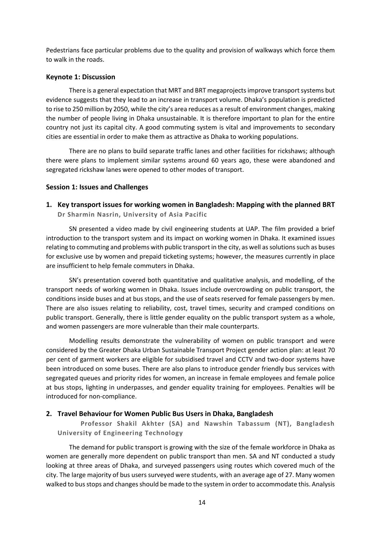Pedestrians face particular problems due to the quality and provision of walkways which force them to walk in the roads.

#### <span id="page-13-0"></span>**Keynote 1: Discussion**

There is a general expectation that MRT and BRT megaprojects improve transport systems but evidence suggests that they lead to an increase in transport volume. Dhaka's population is predicted to rise to 250 million by 2050, while the city's area reduces as a result of environment changes, making the number of people living in Dhaka unsustainable. It is therefore important to plan for the entire country not just its capital city. A good commuting system is vital and improvements to secondary cities are essential in order to make them as attractive as Dhaka to working populations.

There are no plans to build separate traffic lanes and other facilities for rickshaws; although there were plans to implement similar systems around 60 years ago, these were abandoned and segregated rickshaw lanes were opened to other modes of transport.

#### <span id="page-13-2"></span><span id="page-13-1"></span>**Session 1: Issues and Challenges**

**1. Key transport issues for working women in Bangladesh: Mapping with the planned BRT Dr Sharmin Nasrin, University of Asia Pacific**

SN presented a video made by civil engineering students at UAP. The film provided a brief introduction to the transport system and its impact on working women in Dhaka. It examined issues relating to commuting and problems with public transport in the city, as well as solutions such as buses for exclusive use by women and prepaid ticketing systems; however, the measures currently in place are insufficient to help female commuters in Dhaka.

SN's presentation covered both quantitative and qualitative analysis, and modelling, of the transport needs of working women in Dhaka. Issues include overcrowding on public transport, the conditions inside buses and at bus stops, and the use of seats reserved for female passengers by men. There are also issues relating to reliability, cost, travel times, security and cramped conditions on public transport. Generally, there is little gender equality on the public transport system as a whole, and women passengers are more vulnerable than their male counterparts.

Modelling results demonstrate the vulnerability of women on public transport and were considered by the Greater Dhaka Urban Sustainable Transport Project gender action plan: at least 70 per cent of garment workers are eligible for subsidised travel and CCTV and two-door systems have been introduced on some buses. There are also plans to introduce gender friendly bus services with segregated queues and priority rides for women, an increase in female employees and female police at bus stops, lighting in underpasses, and gender equality training for employees. Penalties will be introduced for non-compliance.

#### <span id="page-13-3"></span>**2. Travel Behaviour for Women Public Bus Users in Dhaka, Bangladesh**

**Professor Shakil Akhter (SA) and Nawshin Tabassum (NT), Bangladesh University of Engineering Technology**

The demand for public transport is growing with the size of the female workforce in Dhaka as women are generally more dependent on public transport than men. SA and NT conducted a study looking at three areas of Dhaka, and surveyed passengers using routes which covered much of the city. The large majority of bus users surveyed were students, with an average age of 27. Many women walked to bus stops and changes should be made to the system in order to accommodate this. Analysis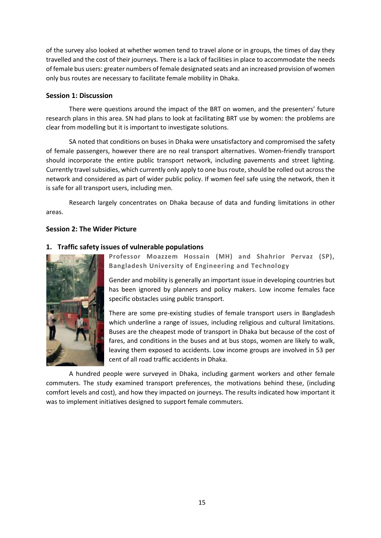of the survey also looked at whether women tend to travel alone or in groups, the times of day they travelled and the cost of their journeys. There is a lack of facilities in place to accommodate the needs of female bus users: greater numbers of female designated seats and an increased provision of women only bus routes are necessary to facilitate female mobility in Dhaka.

## <span id="page-14-0"></span>**Session 1: Discussion**

There were questions around the impact of the BRT on women, and the presenters' future research plans in this area. SN had plans to look at facilitating BRT use by women: the problems are clear from modelling but it is important to investigate solutions.

SA noted that conditions on buses in Dhaka were unsatisfactory and compromised the safety of female passengers, however there are no real transport alternatives. Women-friendly transport should incorporate the entire public transport network, including pavements and street lighting. Currently travel subsidies, which currently only apply to one bus route, should be rolled out across the network and considered as part of wider public policy. If women feel safe using the network, then it is safe for all transport users, including men.

Research largely concentrates on Dhaka because of data and funding limitations in other areas.

## <span id="page-14-1"></span>**Session 2: The Wider Picture**

## <span id="page-14-2"></span>**1. Traffic safety issues of vulnerable populations**



**Professor Moazzem Hossain (MH) and Shahrior Pervaz (SP), Bangladesh University of Engineering and Technology**

Gender and mobility is generally an important issue in developing countries but has been ignored by planners and policy makers. Low income females face specific obstacles using public transport.

There are some pre-existing studies of female transport users in Bangladesh which underline a range of issues, including religious and cultural limitations. Buses are the cheapest mode of transport in Dhaka but because of the cost of fares, and conditions in the buses and at bus stops, women are likely to walk, leaving them exposed to accidents. Low income groups are involved in 53 per cent of all road traffic accidents in Dhaka.

A hundred people were surveyed in Dhaka, including garment workers and other female commuters. The study examined transport preferences, the motivations behind these, (including comfort levels and cost), and how they impacted on journeys. The results indicated how important it was to implement initiatives designed to support female commuters.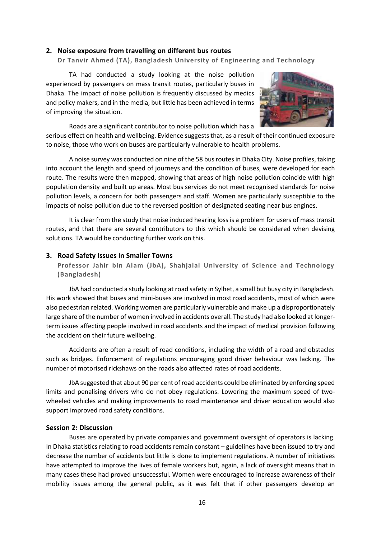#### <span id="page-15-0"></span>**2. Noise exposure from travelling on different bus routes**

**Dr Tanvir Ahmed (TA), Bangladesh University of Engineering and Technology**

TA had conducted a study looking at the noise pollution experienced by passengers on mass transit routes, particularly buses in Dhaka. The impact of noise pollution is frequently discussed by medics and policy makers, and in the media, but little has been achieved in terms of improving the situation.

Roads are a significant contributor to noise pollution which has a



serious effect on health and wellbeing. Evidence suggests that, as a result of their continued exposure to noise, those who work on buses are particularly vulnerable to health problems.

A noise survey was conducted on nine of the 58 bus routes in Dhaka City. Noise profiles, taking into account the length and speed of journeys and the condition of buses, were developed for each route. The results were then mapped, showing that areas of high noise pollution coincide with high population density and built up areas. Most bus services do not meet recognised standards for noise pollution levels, a concern for both passengers and staff. Women are particularly susceptible to the impacts of noise pollution due to the reversed position of designated seating near bus engines.

It is clear from the study that noise induced hearing loss is a problem for users of mass transit routes, and that there are several contributors to this which should be considered when devising solutions. TA would be conducting further work on this.

#### <span id="page-15-1"></span>**3. Road Safety Issues in Smaller Towns**

**Professor Jahir bin Alam (JbA), Shahjalal University of Science and Technology (Bangladesh)**

JbA had conducted a study looking at road safety in Sylhet, a small but busy city in Bangladesh. His work showed that buses and mini-buses are involved in most road accidents, most of which were also pedestrian related. Working women are particularly vulnerable and make up a disproportionately large share of the number of women involved in accidents overall. The study had also looked at longerterm issues affecting people involved in road accidents and the impact of medical provision following the accident on their future wellbeing.

Accidents are often a result of road conditions, including the width of a road and obstacles such as bridges. Enforcement of regulations encouraging good driver behaviour was lacking. The number of motorised rickshaws on the roads also affected rates of road accidents.

JbA suggested that about 90 per cent of road accidents could be eliminated by enforcing speed limits and penalising drivers who do not obey regulations. Lowering the maximum speed of twowheeled vehicles and making improvements to road maintenance and driver education would also support improved road safety conditions.

#### <span id="page-15-2"></span>**Session 2: Discussion**

Buses are operated by private companies and government oversight of operators is lacking. In Dhaka statistics relating to road accidents remain constant – guidelines have been issued to try and decrease the number of accidents but little is done to implement regulations. A number of initiatives have attempted to improve the lives of female workers but, again, a lack of oversight means that in many cases these had proved unsuccessful. Women were encouraged to increase awareness of their mobility issues among the general public, as it was felt that if other passengers develop an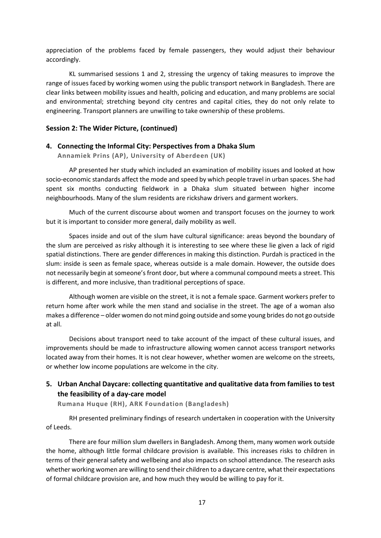appreciation of the problems faced by female passengers, they would adjust their behaviour accordingly.

KL summarised sessions 1 and 2, stressing the urgency of taking measures to improve the range of issues faced by working women using the public transport network in Bangladesh. There are clear links between mobility issues and health, policing and education, and many problems are social and environmental; stretching beyond city centres and capital cities, they do not only relate to engineering. Transport planners are unwilling to take ownership of these problems.

### <span id="page-16-0"></span>**Session 2: The Wider Picture, (continued)**

#### <span id="page-16-1"></span>**4. Connecting the Informal City: Perspectives from a Dhaka Slum**

**Annamiek Prins (AP), University of Aberdeen (UK)**

AP presented her study which included an examination of mobility issues and looked at how socio-economic standards affect the mode and speed by which people travel in urban spaces. She had spent six months conducting fieldwork in a Dhaka slum situated between higher income neighbourhoods. Many of the slum residents are rickshaw drivers and garment workers.

Much of the current discourse about women and transport focuses on the journey to work but it is important to consider more general, daily mobility as well.

Spaces inside and out of the slum have cultural significance: areas beyond the boundary of the slum are perceived as risky although it is interesting to see where these lie given a lack of rigid spatial distinctions. There are gender differences in making this distinction. Purdah is practiced in the slum: inside is seen as female space, whereas outside is a male domain. However, the outside does not necessarily begin at someone's front door, but where a communal compound meets a street. This is different, and more inclusive, than traditional perceptions of space.

Although women are visible on the street, it is not a female space. Garment workers prefer to return home after work while the men stand and socialise in the street. The age of a woman also makes a difference – older women do not mind going outside and some young brides do not go outside at all.

Decisions about transport need to take account of the impact of these cultural issues, and improvements should be made to infrastructure allowing women cannot access transport networks located away from their homes. It is not clear however, whether women are welcome on the streets, or whether low income populations are welcome in the city.

# <span id="page-16-2"></span>**5. Urban Anchal Daycare: collecting quantitative and qualitative data from families to test the feasibility of a day-care model**

**Rumana Huque (RH), ARK Foundation (Bangladesh)**

RH presented preliminary findings of research undertaken in cooperation with the University of Leeds.

There are four million slum dwellers in Bangladesh. Among them, many women work outside the home, although little formal childcare provision is available. This increases risks to children in terms of their general safety and wellbeing and also impacts on school attendance. The research asks whether working women are willing to send their children to a daycare centre, what their expectations of formal childcare provision are, and how much they would be willing to pay for it.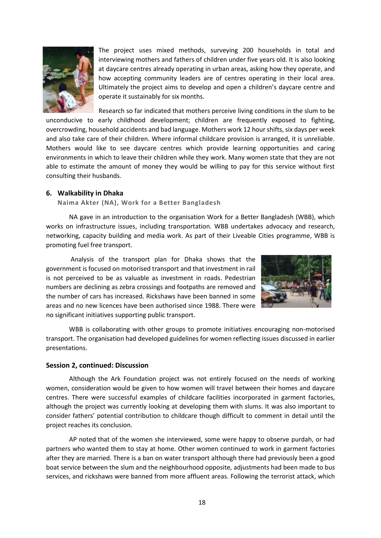

The project uses mixed methods, surveying 200 households in total and interviewing mothers and fathers of children under five years old. It is also looking at daycare centres already operating in urban areas, asking how they operate, and how accepting community leaders are of centres operating in their local area. Ultimately the project aims to develop and open a children's daycare centre and operate it sustainably for six months.

Research so far indicated that mothers perceive living conditions in the slum to be unconducive to early childhood development; children are frequently exposed to fighting, overcrowding, household accidents and bad language. Mothers work 12 hour shifts, six days per week and also take care of their children. Where informal childcare provision is arranged, it is unreliable. Mothers would like to see daycare centres which provide learning opportunities and caring environments in which to leave their children while they work. Many women state that they are not able to estimate the amount of money they would be willing to pay for this service without first consulting their husbands.

#### <span id="page-17-0"></span>**6. Walkability in Dhaka**

**Naima Akter (NA), Work for a Better Bangladesh**

NA gave in an introduction to the organisation Work for a Better Bangladesh (WBB), which works on infrastructure issues, including transportation. WBB undertakes advocacy and research, networking, capacity building and media work. As part of their Liveable Cities programme, WBB is promoting fuel free transport.

Analysis of the transport plan for Dhaka shows that the government is focused on motorised transport and that investment in rail is not perceived to be as valuable as investment in roads. Pedestrian numbers are declining as zebra crossings and footpaths are removed and the number of cars has increased. Rickshaws have been banned in some areas and no new licences have been authorised since 1988. There were no significant initiatives supporting public transport.



WBB is collaborating with other groups to promote initiatives encouraging non-motorised transport. The organisation had developed guidelines for women reflecting issues discussed in earlier presentations.

### <span id="page-17-1"></span>**Session 2, continued: Discussion**

Although the Ark Foundation project was not entirely focused on the needs of working women, consideration would be given to how women will travel between their homes and daycare centres. There were successful examples of childcare facilities incorporated in garment factories, although the project was currently looking at developing them with slums. It was also important to consider fathers' potential contribution to childcare though difficult to comment in detail until the project reaches its conclusion.

AP noted that of the women she interviewed, some were happy to observe purdah, or had partners who wanted them to stay at home. Other women continued to work in garment factories after they are married. There is a ban on water transport although there had previously been a good boat service between the slum and the neighbourhood opposite, adjustments had been made to bus services, and rickshaws were banned from more affluent areas. Following the terrorist attack, which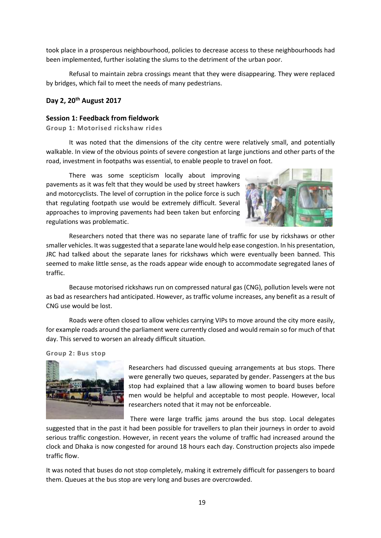took place in a prosperous neighbourhood, policies to decrease access to these neighbourhoods had been implemented, further isolating the slums to the detriment of the urban poor.

Refusal to maintain zebra crossings meant that they were disappearing. They were replaced by bridges, which fail to meet the needs of many pedestrians.

#### <span id="page-18-0"></span>**Day 2, 20th August 2017**

#### **Session 1: Feedback from fieldwork**

**Group 1: Motorised rickshaw rides**

It was noted that the dimensions of the city centre were relatively small, and potentially walkable. In view of the obvious points of severe congestion at large junctions and other parts of the road, investment in footpaths was essential, to enable people to travel on foot.

There was some scepticism locally about improving pavements as it was felt that they would be used by street hawkers and motorcyclists. The level of corruption in the police force is such that regulating footpath use would be extremely difficult. Several approaches to improving pavements had been taken but enforcing regulations was problematic.



Researchers noted that there was no separate lane of traffic for use by rickshaws or other smaller vehicles. It was suggested that a separate lane would help ease congestion. In his presentation, JRC had talked about the separate lanes for rickshaws which were eventually been banned. This seemed to make little sense, as the roads appear wide enough to accommodate segregated lanes of traffic.

Because motorised rickshaws run on compressed natural gas (CNG), pollution levels were not as bad as researchers had anticipated. However, as traffic volume increases, any benefit as a result of CNG use would be lost.

Roads were often closed to allow vehicles carrying VIPs to move around the city more easily, for example roads around the parliament were currently closed and would remain so for much of that day. This served to worsen an already difficult situation.

#### **Group 2: Bus stop**



Researchers had discussed queuing arrangements at bus stops. There were generally two queues, separated by gender. Passengers at the bus stop had explained that a law allowing women to board buses before men would be helpful and acceptable to most people. However, local researchers noted that it may not be enforceable.

There were large traffic jams around the bus stop. Local delegates

suggested that in the past it had been possible for travellers to plan their journeys in order to avoid serious traffic congestion. However, in recent years the volume of traffic had increased around the clock and Dhaka is now congested for around 18 hours each day. Construction projects also impede traffic flow.

It was noted that buses do not stop completely, making it extremely difficult for passengers to board them. Queues at the bus stop are very long and buses are overcrowded.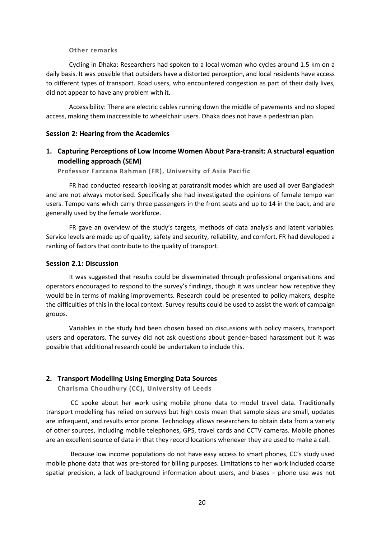#### **Other remarks**

Cycling in Dhaka: Researchers had spoken to a local woman who cycles around 1.5 km on a daily basis. It was possible that outsiders have a distorted perception, and local residents have access to different types of transport. Road users, who encountered congestion as part of their daily lives, did not appear to have any problem with it.

Accessibility: There are electric cables running down the middle of pavements and no sloped access, making them inaccessible to wheelchair users. Dhaka does not have a pedestrian plan.

#### <span id="page-19-1"></span><span id="page-19-0"></span>**Session 2: Hearing from the Academics**

## **1. Capturing Perceptions of Low Income Women About Para-transit: A structural equation modelling approach (SEM)**

**Professor Farzana Rahman (FR), University of Asia Pacific**

FR had conducted research looking at paratransit modes which are used all over Bangladesh and are not always motorised. Specifically she had investigated the opinions of female tempo van users. Tempo vans which carry three passengers in the front seats and up to 14 in the back, and are generally used by the female workforce.

FR gave an overview of the study's targets, methods of data analysis and latent variables. Service levels are made up of quality, safety and security, reliability, and comfort. FR had developed a ranking of factors that contribute to the quality of transport.

#### <span id="page-19-2"></span>**Session 2.1: Discussion**

It was suggested that results could be disseminated through professional organisations and operators encouraged to respond to the survey's findings, though it was unclear how receptive they would be in terms of making improvements. Research could be presented to policy makers, despite the difficulties of this in the local context. Survey results could be used to assist the work of campaign groups.

Variables in the study had been chosen based on discussions with policy makers, transport users and operators. The survey did not ask questions about gender-based harassment but it was possible that additional research could be undertaken to include this.

#### <span id="page-19-3"></span>**2. Transport Modelling Using Emerging Data Sources**

**Charisma Choudhury (CC), University of Leeds**

CC spoke about her work using mobile phone data to model travel data. Traditionally transport modelling has relied on surveys but high costs mean that sample sizes are small, updates are infrequent, and results error prone. Technology allows researchers to obtain data from a variety of other sources, including mobile telephones, GPS, travel cards and CCTV cameras. Mobile phones are an excellent source of data in that they record locations whenever they are used to make a call.

Because low income populations do not have easy access to smart phones, CC's study used mobile phone data that was pre-stored for billing purposes. Limitations to her work included coarse spatial precision, a lack of background information about users, and biases – phone use was not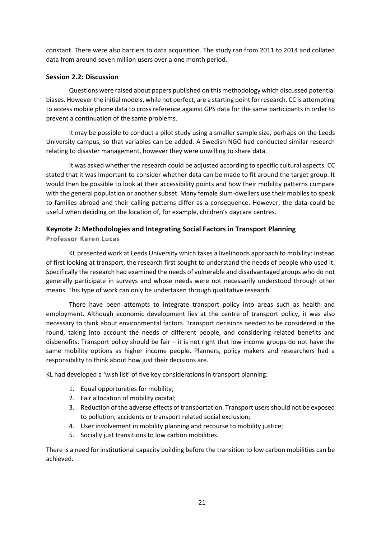constant. There were also barriers to data acquisition. The study ran from 2011 to 2014 and collated data from around seven million users over a one month period.

## <span id="page-20-0"></span>**Session 2.2: Discussion**

Questions were raised about papers published on this methodology which discussed potential biases. However the initial models, while not perfect, are a starting point for research. CC is attempting to access mobile phone data to cross reference against GPS data for the same participants in order to prevent a continuation of the same problems.

It may be possible to conduct a pilot study using a smaller sample size, perhaps on the Leeds University campus, so that variables can be added. A Swedish NGO had conducted similar research relating to disaster management, however they were unwilling to share data.

It was asked whether the research could be adjusted according to specific cultural aspects. CC stated that it was important to consider whether data can be made to fit around the target group. It would then be possible to look at their accessibility points and how their mobility patterns compare with the general population or another subset. Many female slum-dwellers use their mobiles to speak to families abroad and their calling patterns differ as a consequence. However, the data could be useful when deciding on the location of, for example, children's daycare centres.

## <span id="page-20-1"></span>**Keynote 2: Methodologies and Integrating Social Factors in Transport Planning**

### **Professor Karen Lucas**

KL presented work at Leeds University which takes a livelihoods approach to mobility: instead of first looking at transport, the research first sought to understand the needs of people who used it. Specifically the research had examined the needs of vulnerable and disadvantaged groups who do not generally participate in surveys and whose needs were not necessarily understood through other means. This type of work can only be undertaken through qualitative research.

There have been attempts to integrate transport policy into areas such as health and employment. Although economic development lies at the centre of transport policy, it was also necessary to think about environmental factors. Transport decisions needed to be considered in the round, taking into account the needs of different people, and considering related benefits and disbenefits. Transport policy should be fair – it is not right that low income groups do not have the same mobility options as higher income people. Planners, policy makers and researchers had a responsibility to think about how just their decisions are.

KL had developed a 'wish list' of five key considerations in transport planning:

- 1. Equal opportunities for mobility;
- 2. Fair allocation of mobility capital;
- 3. Reduction of the adverse effects of transportation. Transport users should not be exposed to pollution, accidents or transport related social exclusion;
- 4. User involvement in mobility planning and recourse to mobility justice;
- 5. Socially just transitions to low carbon mobilities.

There is a need for institutional capacity building before the transition to low carbon mobilities can be achieved.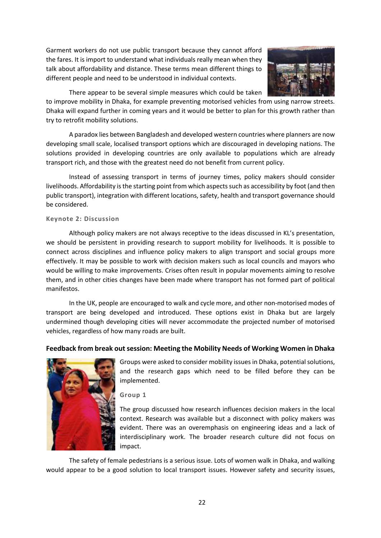Garment workers do not use public transport because they cannot afford the fares. It is import to understand what individuals really mean when they talk about affordability and distance. These terms mean different things to different people and need to be understood in individual contexts.



There appear to be several simple measures which could be taken

to improve mobility in Dhaka, for example preventing motorised vehicles from using narrow streets. Dhaka will expand further in coming years and it would be better to plan for this growth rather than try to retrofit mobility solutions.

A paradox lies between Bangladesh and developed western countries where planners are now developing small scale, localised transport options which are discouraged in developing nations. The solutions provided in developing countries are only available to populations which are already transport rich, and those with the greatest need do not benefit from current policy.

Instead of assessing transport in terms of journey times, policy makers should consider livelihoods. Affordability is the starting point from which aspects such as accessibility by foot (and then public transport), integration with different locations, safety, health and transport governance should be considered.

### **Keynote 2: Discussion**

Although policy makers are not always receptive to the ideas discussed in KL's presentation, we should be persistent in providing research to support mobility for livelihoods. It is possible to connect across disciplines and influence policy makers to align transport and social groups more effectively. It may be possible to work with decision makers such as local councils and mayors who would be willing to make improvements. Crises often result in popular movements aiming to resolve them, and in other cities changes have been made where transport has not formed part of political manifestos.

In the UK, people are encouraged to walk and cycle more, and other non-motorised modes of transport are being developed and introduced. These options exist in Dhaka but are largely undermined though developing cities will never accommodate the projected number of motorised vehicles, regardless of how many roads are built.

## <span id="page-21-0"></span>**Feedback from break out session: Meeting the Mobility Needs of Working Women in Dhaka**



Groups were asked to consider mobility issues in Dhaka, potential solutions, and the research gaps which need to be filled before they can be implemented.

**Group 1**

The group discussed how research influences decision makers in the local context. Research was available but a disconnect with policy makers was evident. There was an overemphasis on engineering ideas and a lack of interdisciplinary work. The broader research culture did not focus on impact.

The safety of female pedestrians is a serious issue. Lots of women walk in Dhaka, and walking would appear to be a good solution to local transport issues. However safety and security issues,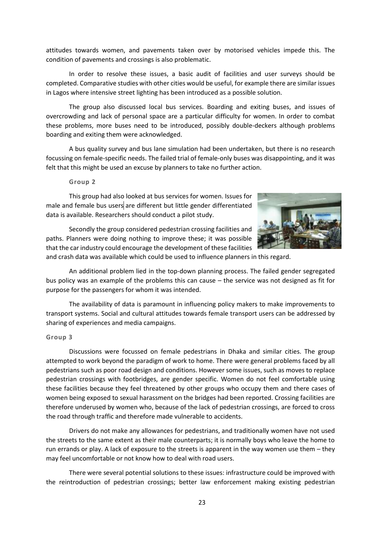attitudes towards women, and pavements taken over by motorised vehicles impede this. The condition of pavements and crossings is also problematic.

In order to resolve these issues, a basic audit of facilities and user surveys should be completed. Comparative studies with other cities would be useful, for example there are similar issues in Lagos where intensive street lighting has been introduced as a possible solution.

The group also discussed local bus services. Boarding and exiting buses, and issues of overcrowding and lack of personal space are a particular difficulty for women. In order to combat these problems, more buses need to be introduced, possibly double-deckers although problems boarding and exiting them were acknowledged.

A bus quality survey and bus lane simulation had been undertaken, but there is no research focussing on female-specific needs. The failed trial of female-only buses was disappointing, and it was felt that this might be used an excuse by planners to take no further action.

#### **Group 2**

This group had also looked at bus services for women. Issues for male and female bus users are different but little gender differentiated data is available. Researchers should conduct a pilot study.



Secondly the group considered pedestrian crossing facilities and paths. Planners were doing nothing to improve these; it was possible that the car industry could encourage the development of these facilities

and crash data was available which could be used to influence planners in this regard.

An additional problem lied in the top-down planning process. The failed gender segregated bus policy was an example of the problems this can cause – the service was not designed as fit for purpose for the passengers for whom it was intended.

The availability of data is paramount in influencing policy makers to make improvements to transport systems. Social and cultural attitudes towards female transport users can be addressed by sharing of experiences and media campaigns.

#### **Group 3**

Discussions were focussed on female pedestrians in Dhaka and similar cities. The group attempted to work beyond the paradigm of work to home. There were general problems faced by all pedestrians such as poor road design and conditions. However some issues, such as moves to replace pedestrian crossings with footbridges, are gender specific. Women do not feel comfortable using these facilities because they feel threatened by other groups who occupy them and there cases of women being exposed to sexual harassment on the bridges had been reported. Crossing facilities are therefore underused by women who, because of the lack of pedestrian crossings, are forced to cross the road through traffic and therefore made vulnerable to accidents.

Drivers do not make any allowances for pedestrians, and traditionally women have not used the streets to the same extent as their male counterparts; it is normally boys who leave the home to run errands or play. A lack of exposure to the streets is apparent in the way women use them – they may feel uncomfortable or not know how to deal with road users.

There were several potential solutions to these issues: infrastructure could be improved with the reintroduction of pedestrian crossings; better law enforcement making existing pedestrian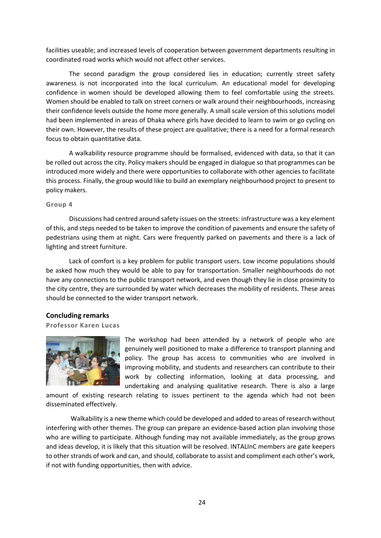facilities useable; and increased levels of cooperation between government departments resulting in coordinated road works which would not affect other services.

The second paradigm the group considered lies in education; currently street safety awareness is not incorporated into the local curriculum. An educational model for developing confidence in women should be developed allowing them to feel comfortable using the streets. Women should be enabled to talk on street corners or walk around their neighbourhoods, increasing their confidence levels outside the home more generally. A small scale version of this solutions model had been implemented in areas of Dhaka where girls have decided to learn to swim or go cycling on their own. However, the results of these project are qualitative; there is a need for a formal research focus to obtain quantitative data.

A walkability resource programme should be formalised, evidenced with data, so that it can be rolled out across the city. Policy makers should be engaged in dialogue so that programmes can be introduced more widely and there were opportunities to collaborate with other agencies to facilitate this process. Finally, the group would like to build an exemplary neighbourhood project to present to policy makers.

#### **Group 4**

Discussions had centred around safety issues on the streets: infrastructure was a key element of this, and steps needed to be taken to improve the condition of pavements and ensure the safety of pedestrians using them at night. Cars were frequently parked on pavements and there is a lack of lighting and street furniture.

Lack of comfort is a key problem for public transport users. Low income populations should be asked how much they would be able to pay for transportation. Smaller neighbourhoods do not have any connections to the public transport network, and even though they lie in close proximity to the city centre, they are surrounded by water which decreases the mobility of residents. These areas should be connected to the wider transport network.

### <span id="page-23-0"></span>**Concluding remarks**

### **Professor Karen Lucas**



The workshop had been attended by a network of people who are genuinely well positioned to make a difference to transport planning and policy. The group has access to communities who are involved in improving mobility, and students and researchers can contribute to their work by collecting information, looking at data processing, and undertaking and analysing qualitative research. There is also a large

amount of existing research relating to issues pertinent to the agenda which had not been disseminated effectively.

Walkability is a new theme which could be developed and added to areas of research without interfering with other themes. The group can prepare an evidence-based action plan involving those who are willing to participate. Although funding may not available immediately, as the group grows and ideas develop, it is likely that this situation will be resolved. INTALInC members are gate keepers to other strands of work and can, and should, collaborate to assist and compliment each other's work, if not with funding opportunities, then with advice.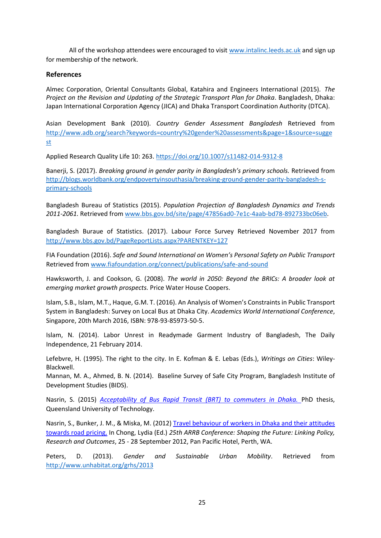All of the workshop attendees were encouraged to visit [www.intalinc.leeds.ac.uk](http://www.intalinc.leeds.ac.uk/) and sign up for membership of the network.

### **References**

Almec Corporation, Oriental Consultants Global, Katahira and Engineers International (2015). *The Project on the Revision and Updating of the Strategic Transport Plan for Dhaka*. Bangladesh, Dhaka: Japan International Corporation Agency (JICA) and Dhaka Transport Coordination Authority (DTCA).

Asian Development Bank (2010). *Country Gender Assessment Bangladesh* Retrieved from [http://www.adb.org/search?keywords=country%20gender%20assessments&page=1&source=sugge](http://www.adb.org/search?keywords=country%20gender%20assessments&page=1&source=suggest) [st](http://www.adb.org/search?keywords=country%20gender%20assessments&page=1&source=suggest)

Applied Research Quality Life 10: 263[. https://doi.org/10.1007/s11482-014-9312-8](https://doi.org/10.1007/s11482-014-9312-8)

Banerji, S. (2017). *Breaking ground in gender parity in Bangladesh's primary schools.* Retrieved from [http://blogs.worldbank.org/endpovertyinsouthasia/breaking-ground-gender-parity-bangladesh-s](http://blogs.worldbank.org/endpovertyinsouthasia/breaking-ground-gender-parity-bangladesh-s-primary-schools)[primary-schools](http://blogs.worldbank.org/endpovertyinsouthasia/breaking-ground-gender-parity-bangladesh-s-primary-schools)

Bangladesh Bureau of Statistics (2015). *Population Projection of Bangladesh Dynamics and Trends 2011-2061.* Retrieved from [www.bbs.gov.bd/site/page/47856ad0-7e1c-4aab-bd78-892733bc06eb.](http://www.bbs.gov.bd/site/page/47856ad0-7e1c-4aab-bd78-892733bc06eb)

Bangladesh Buraue of Statistics. (2017). Labour Force Survey Retrieved November 2017 from <http://www.bbs.gov.bd/PageReportLists.aspx?PARENTKEY=127>

FIA Foundation (2016). *Safe and Sound International on Women's Personal Safety on Public Transport* Retrieved from [www.fiafoundation.org/connect/publications/safe-and-sound](http://www.fiafoundation.org/connect/publications/safe-and-sound)

Hawksworth, J. and Cookson, G. (2008). *The world in 2050: Beyond the BRICs: A broader look at emerging market growth prospects.* Price Water House Coopers.

Islam, S.B., Islam, M.T., Haque, G.M. T. (2016). An Analysis of Women's Constraints in Public Transport System in Bangladesh: Survey on Local Bus at Dhaka City. *Academics World International Conference*, Singapore, 20th March 2016, ISBN: 978-93-85973-50-5.

Islam, N. (2014). Labor Unrest in Readymade Garment Industry of Bangladesh, The Daily Independence, 21 February 2014.

Lefebvre, H. (1995). The right to the city. In E. Kofman & E. Lebas (Eds.), *Writings on Cities*: Wiley-Blackwell.

Mannan, M. A., Ahmed, B. N. (2014). Baseline Survey of Safe City Program, Bangladesh Institute of Development Studies (BIDS).

Nasrin, S. (2015) *[Acceptability of Bus Rapid Transit \(BRT\) to commuters in Dhaka.](https://eprints.qut.edu.au/89770/)* PhD thesis, Queensland University of Technology.

Nasrin, S., Bunker, J. M., & Miska, M. (2012[\) Travel behaviour of workers in Dhaka and their attitudes](https://eprints.qut.edu.au/53955/)  [towards road pricing.](https://eprints.qut.edu.au/53955/) In Chong, Lydia (Ed.) *25th ARRB Conference: Shaping the Future: Linking Policy, Research and Outcomes*, 25 - 28 September 2012, Pan Pacific Hotel, Perth, WA.

Peters, D. (2013). *Gender and Sustainable Urban Mobility*. Retrieved from <http://www.unhabitat.org/grhs/2013>